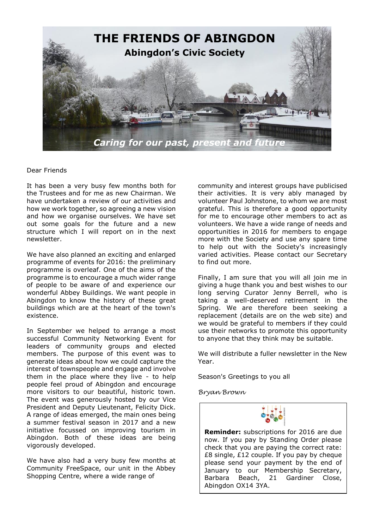

## Dear Friends

It has been a very busy few months both for the Trustees and for me as new Chairman. We have undertaken a review of our activities and how we work together, so agreeing a new vision and how we organise ourselves. We have set out some goals for the future and a new structure which I will report on in the next newsletter.

We have also planned an exciting and enlarged programme of events for 2016: the preliminary programme is overleaf. One of the aims of the programme is to encourage a much wider range of people to be aware of and experience our wonderful Abbey Buildings. We want people in Abingdon to know the history of these great buildings which are at the heart of the town's existence.

In September we helped to arrange a most successful Community Networking Event for leaders of community groups and elected members. The purpose of this event was to generate ideas about how we could capture the interest of townspeople and engage and involve them in the place where they live - to help people feel proud of Abingdon and encourage more visitors to our beautiful, historic town. The event was generously hosted by our Vice President and Deputy Lieutenant, Felicity Dick. A range of ideas emerged, the main ones being a summer festival season in 2017 and a new initiative focussed on improving tourism in Abingdon. Both of these ideas are being vigorously developed.

We have also had a very busy few months at Community FreeSpace, our unit in the Abbey Shopping Centre, where a wide range of

community and interest groups have publicised their activities. It is very ably managed by volunteer Paul Johnstone, to whom we are most grateful. This is therefore a good opportunity for me to encourage other members to act as volunteers. We have a wide range of needs and opportunities in 2016 for members to engage more with the Society and use any spare time to help out with the Society's increasingly varied activities. Please contact our Secretary to find out more.

Finally, I am sure that you will all join me in giving a huge thank you and best wishes to our long serving Curator Jenny Berrell, who is taking a well-deserved retirement in the Spring. We are therefore been seeking a replacement (details are on the web site) and we would be grateful to members if they could use their networks to promote this opportunity to anyone that they think may be suitable.

We will distribute a fuller newsletter in the New Year.

Season's Greetings to you all

*Bryan Brown* 



**Reminder:** subscriptions for 2016 are due now. If you pay by Standing Order please check that you are paying the correct rate: £8 single, £12 couple. If you pay by cheque please send your payment by the end of January to our Membership Secretary, Barbara Beach, 21 Gardiner Close, Abingdon OX14 3YA.